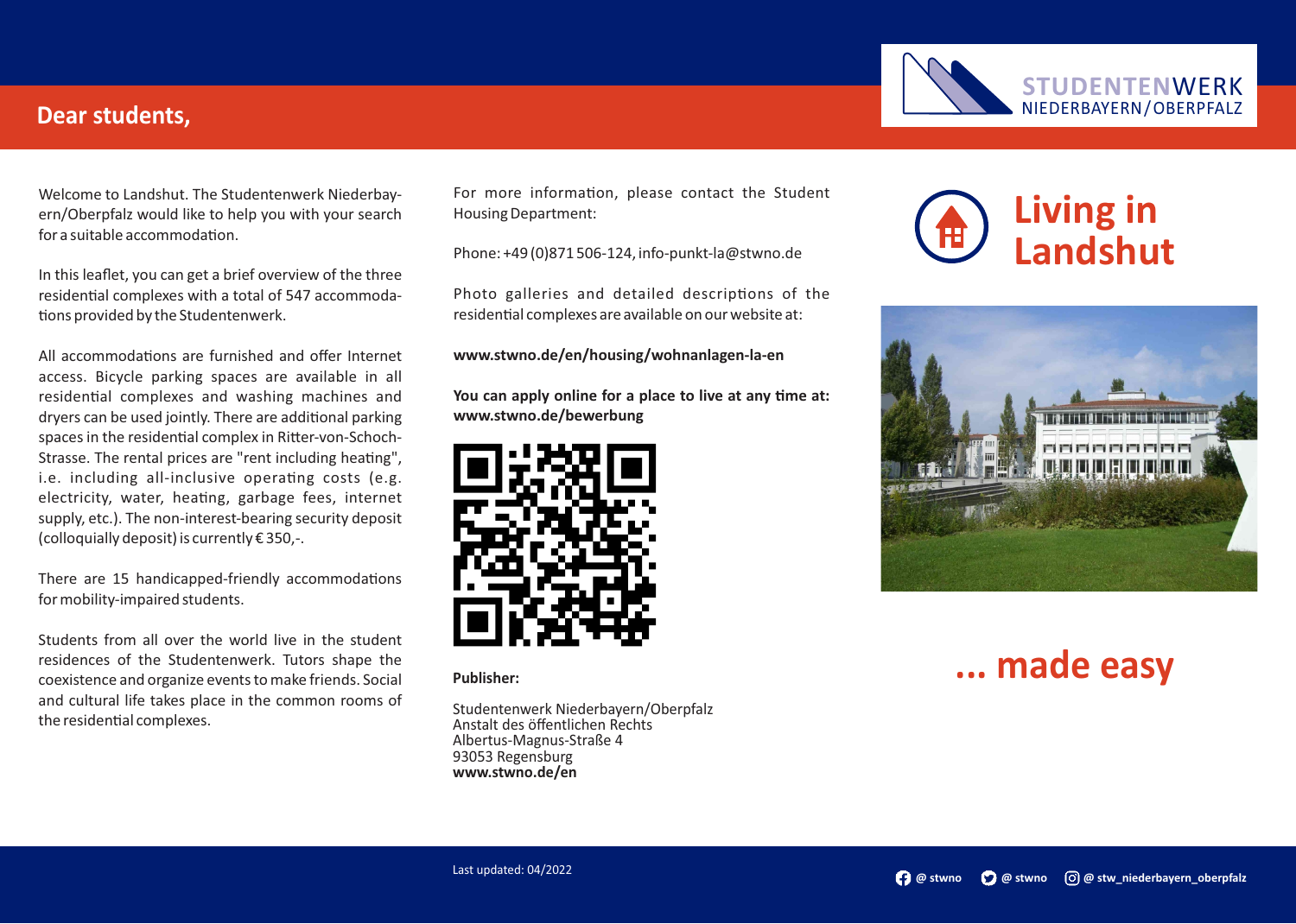#### **Dear students,**

Welcome to Landshut. The Studentenwerk Niederbayern/Oberpfalz would like to help you with your search  $for a suitable accommodation$ 

In this leaflet, you can get a brief overview of the three residential complexes with a total of 547 accommodations provided by the Studentenwerk.

All accommodations are furnished and offer Internet access. Bicycle parking spaces are available in all residential complexes and washing machines and dryers can be used jointly. There are additional parking spaces in the residential complex in Ritter-von-Schoch-Strasse. The rental prices are "rent including heating", i.e. including all-inclusive operating costs (e.g. electricity, water, heating, garbage fees, internet supply, etc.). The non-interest-bearing security deposit (colloquially deposit) is currently € 350,-.

There are 15 handicapped-friendly accommodations for mobility-impaired students.

Students from all over the world live in the student residences of the Studentenwerk. Tutors shape the coexistence and organize events to make friends. Social and cultural life takes place in the common rooms of the residential complexes.

For more information, please contact the Student Housing Department:

Phone: +49 (0)871 506-124, info-punkt-la@stwno.de

Photo galleries and detailed descriptions of the residential complexes are available on our website at:

**www.stwno.de/en/housing/wohnanlagen-la-en**

You can apply online for a place to live at any time at: **www.stwno.de/bewerbung**



**Publisher:**

Studentenwerk Niederbayern/Oberpfalz Anstalt des öffentlichen Rechts Albertus-Magnus-Straße 4 93053 Regensburg **www.stwno.de/en**







# **... made easy**